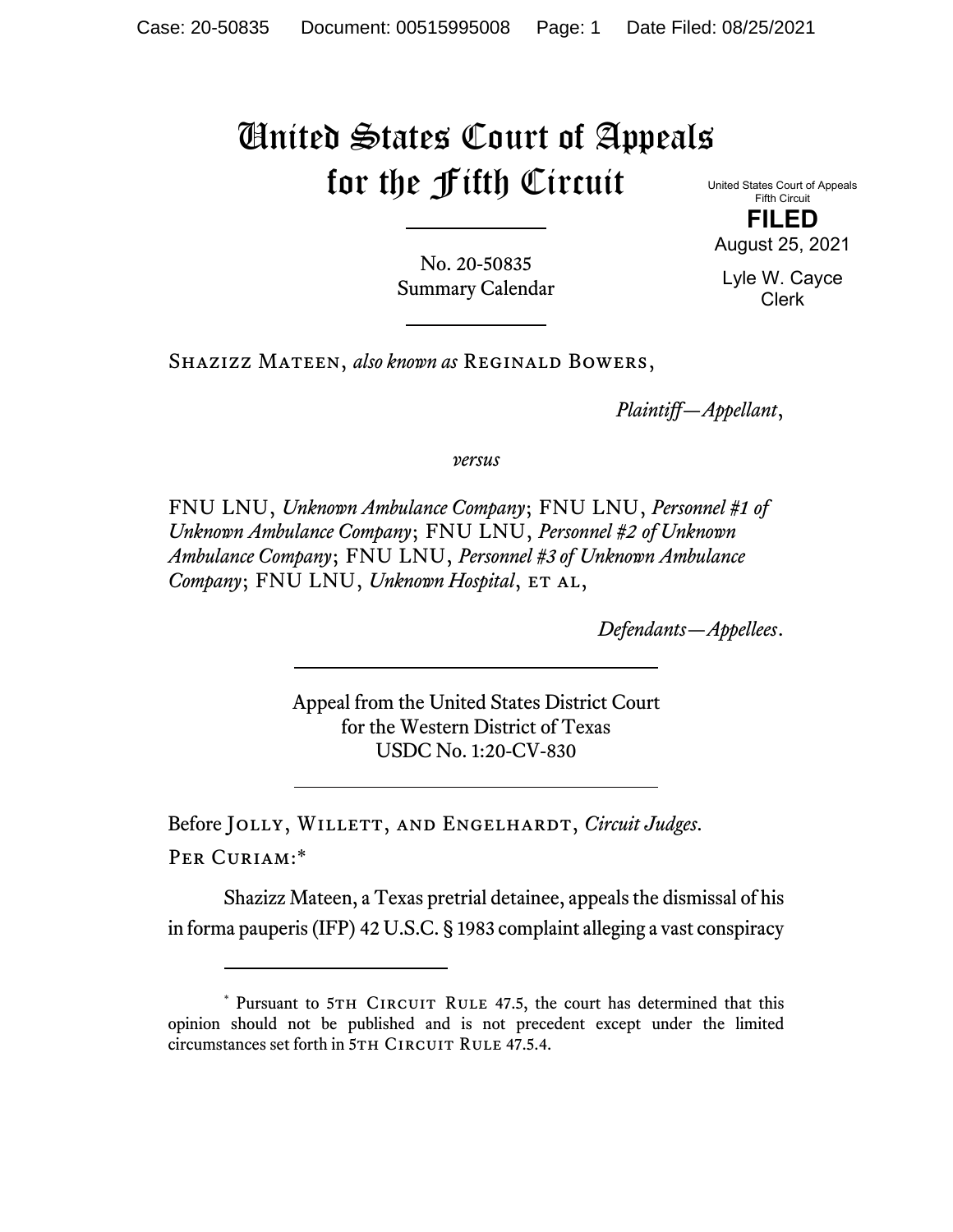## United States Court of Appeals for the Fifth Circuit United States Court of Appeals

Fifth Circuit **FILED** 

August 25, 2021

No. 20-50835 Summary Calendar Lyle W. Cayce Clerk

Shazizz Mateen, *also known as* Reginald Bowers,

*Plaintiff—Appellant*,

*versus*

FNU LNU, *Unknown Ambulance Company*; FNU LNU, *Personnel #1 of Unknown Ambulance Company*; FNU LNU, *Personnel #2 of Unknown Ambulance Company*; FNU LNU, *Personnel #3 of Unknown Ambulance Company*; FNU LNU, *Unknown Hospital*, ET AL,

*Defendants—Appellees*.

Appeal from the United States District Court for the Western District of Texas USDC No. 1:20-CV-830

Before Jolly, Willett, and Engelhardt, *Circuit Judges*. Per Curiam:\*

Shazizz Mateen, a Texas pretrial detainee, appeals the dismissal of his in forma pauperis (IFP) 42 U.S.C. § 1983 complaint alleging a vast conspiracy

<sup>\*</sup> Pursuant to 5TH CIRCUIT RULE 47.5, the court has determined that this opinion should not be published and is not precedent except under the limited circumstances set forth in 5TH CIRCUIT RULE 47.5.4.